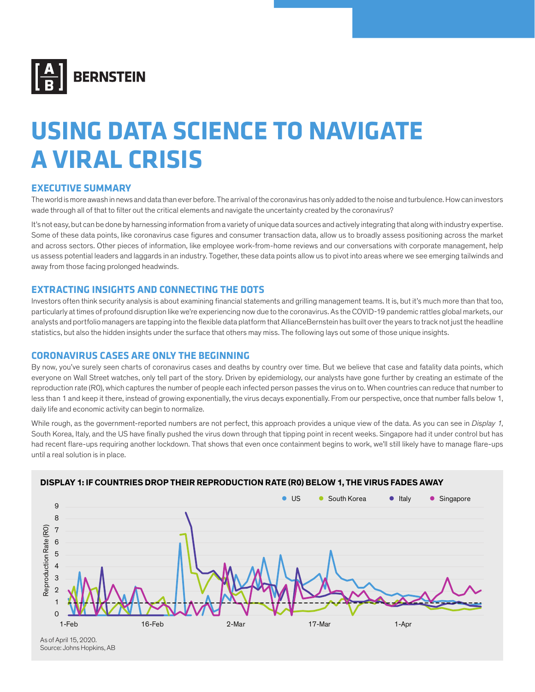

# **USING DATA SCIENCE TO NAVIGATE A VIRAL CRISIS**

# **EXECUTIVE SUMMARY**

The world is more awash in news and data than ever before. The arrival of the coronavirus has only added to the noise and turbulence. How can investors wade through all of that to filter out the critical elements and navigate the uncertainty created by the coronavirus?

It's not easy, but can be done by harnessing information from a variety of unique data sources and actively integrating that along with industry expertise. Some of these data points, like coronavirus case figures and consumer transaction data, allow us to broadly assess positioning across the market and across sectors. Other pieces of information, like employee work-from-home reviews and our conversations with corporate management, help us assess potential leaders and laggards in an industry. Together, these data points allow us to pivot into areas where we see emerging tailwinds and away from those facing prolonged headwinds.

# **EXTRACTING INSIGHTS AND CONNECTING THE DOTS**

Investors often think security analysis is about examining financial statements and grilling management teams. It is, but it's much more than that too, particularly at times of profound disruption like we're experiencing now due to the coronavirus. As the COVID-19 pandemic rattles global markets, our analysts and portfolio managers are tapping into the flexible data platform that AllianceBernstein has built over the years to track not just the headline statistics, but also the hidden insights under the surface that others may miss. The following lays out some of those unique insights.

# **CORONAVIRUS CASES ARE ONLY THE BEGINNING**

By now, you've surely seen charts of coronavirus cases and deaths by country over time. But we believe that case and fatality data points, which everyone on Wall Street watches, only tell part of the story. Driven by epidemiology, our analysts have gone further by creating an estimate of the reproduction rate (R0), which captures the number of people each infected person passes the virus on to. When countries can reduce that number to less than 1 and keep it there, instead of growing exponentially, the virus decays exponentially. From our perspective, once that number falls below 1, daily life and economic activity can begin to normalize.

While rough, as the government-reported numbers are not perfect, this approach provides a unique view of the data. As you can see in *Display 1*, South Korea, Italy, and the US have finally pushed the virus down through that tipping point in recent weeks. Singapore had it under control but has had recent flare-ups requiring another lockdown. That shows that even once containment begins to work, we'll still likely have to manage flare-ups until a real solution is in place.



# **DISPLAY 1: IF COUNTRIES DROP THEIR REPRODUCTION RATE (R0) BELOW 1, THE VIRUS FADES AWAY**

Source: Johns Hopkins, AB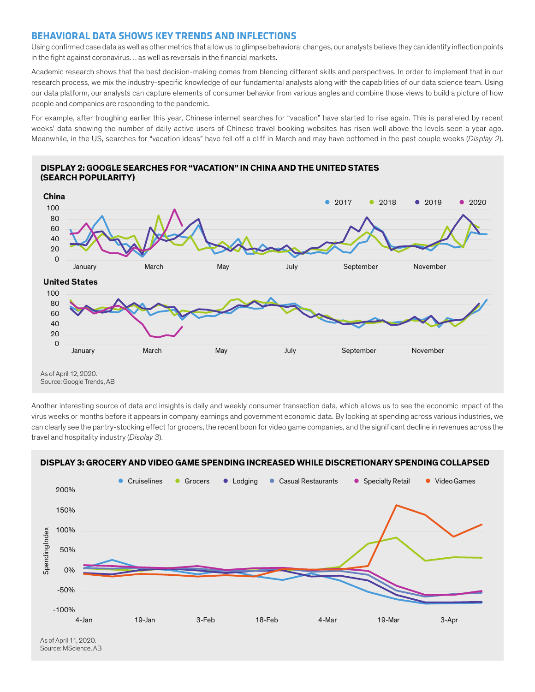# **BEHAVIORAL DATA SHOWS KEY TRENDS AND INFLECTIONS**

Using confirmed case data as well as other metrics that allow us to glimpse behavioral changes, our analysts believe they can identify inflection points in the fight against coronavirus… as well as reversals in the financial markets.

Academic research shows that the best decision-making comes from blending different skills and perspectives. In order to implement that in our research process, we mix the industry-specific knowledge of our fundamental analysts along with the capabilities of our data science team. Using our data platform, our analysts can capture elements of consumer behavior from various angles and combine those views to build a picture of how people and companies are responding to the pandemic.

For example, after troughing earlier this year, Chinese internet searches for "vacation" have started to rise again. This is paralleled by recent weeks' data showing the number of daily active users of Chinese travel booking websites has risen well above the levels seen a year ago. Meanwhile, in the US, searches for "vacation ideas" have fell off a cliff in March and may have bottomed in the past couple weeks (*Display 2*).

#### **DISPLAY 2: GOOGLE SEARCHES FOR "VACATION" IN CHINA AND THE UNITED STATES (SEARCH POPULARITY)**



Another interesting source of data and insights is daily and weekly consumer transaction data, which allows us to see the economic impact of the virus weeks or months before it appears in company earnings and government economic data. By looking at spending across various industries, we can clearly see the pantry-stocking effect for grocers, the recent boon for video game companies, and the significant decline in revenues across the travel and hospitality industry (*Display 3*).



# **DISPLAY 3: GROCERY AND VIDEO GAME SPENDING INCREASED WHILE DISCRETIONARY SPENDING COLLAPSED**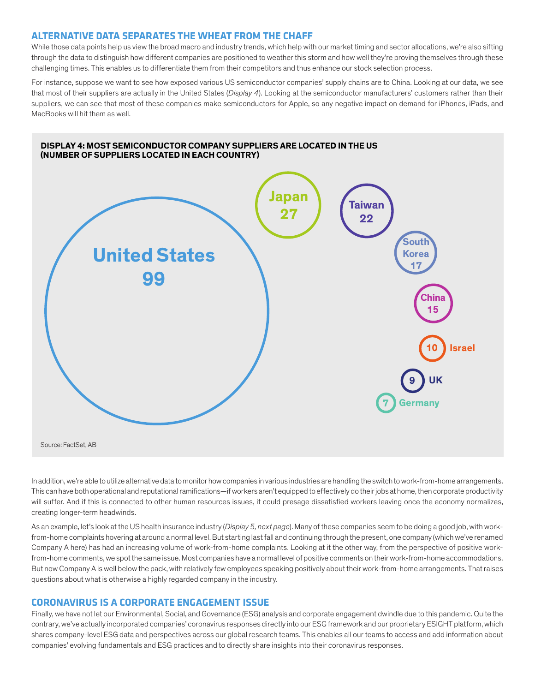# **ALTERNATIVE DATA SEPARATES THE WHEAT FROM THE CHAFF**

While those data points help us view the broad macro and industry trends, which help with our market timing and sector allocations, we're also sifting through the data to distinguish how different companies are positioned to weather this storm and how well they're proving themselves through these challenging times. This enables us to differentiate them from their competitors and thus enhance our stock selection process.

For instance, suppose we want to see how exposed various US semiconductor companies' supply chains are to China. Looking at our data, we see that most of their suppliers are actually in the United States (*Display 4*). Looking at the semiconductor manufacturers' customers rather than their suppliers, we can see that most of these companies make semiconductors for Apple, so any negative impact on demand for iPhones, iPads, and MacBooks will hit them as well.



In addition, we're able to utilize alternative data to monitor how companies in various industries are handling the switch to work-from-home arrangements. This can have both operational and reputational ramifications—if workers aren't equipped to effectively do their jobs at home, then corporate productivity will suffer. And if this is connected to other human resources issues, it could presage dissatisfied workers leaving once the economy normalizes, creating longer-term headwinds.

As an example, let's look at the US health insurance industry (*Display 5, next page*). Many of these companies seem to be doing a good job, with workfrom-home complaints hovering at around a normal level. But starting last fall and continuing through the present, one company (which we've renamed Company A here) has had an increasing volume of work-from-home complaints. Looking at it the other way, from the perspective of positive workfrom-home comments, we spot the same issue. Most companies have a normal level of positive comments on their work-from-home accommodations. But now Company A is well below the pack, with relatively few employees speaking positively about their work-from-home arrangements. That raises questions about what is otherwise a highly regarded company in the industry.

#### **CORONAVIRUS IS A CORPORATE ENGAGEMENT ISSUE**

Finally, we have not let our Environmental, Social, and Governance (ESG) analysis and corporate engagement dwindle due to this pandemic. Quite the contrary, we've actually incorporated companies' coronavirus responses directly into our ESG framework and our proprietary ESIGHT platform, which shares company-level ESG data and perspectives across our global research teams. This enables all our teams to access and add information about companies' evolving fundamentals and ESG practices and to directly share insights into their coronavirus responses.